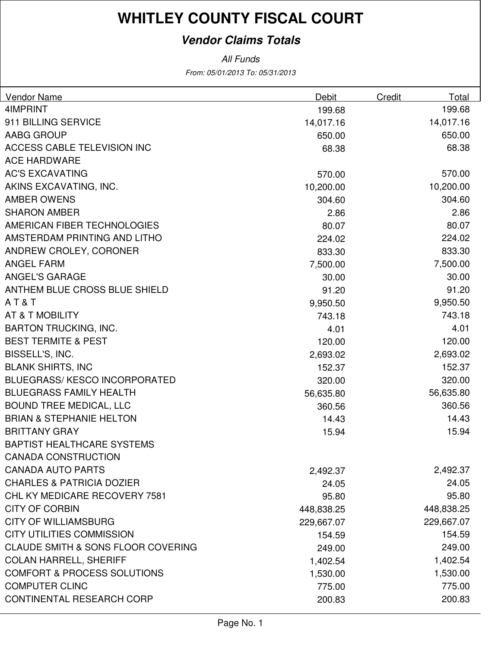## **Vendor Claims Totals**

From: 05/01/2013 To: 05/31/2013 All Funds

| Vendor Name                                   | Debit      | Credit | Total      |
|-----------------------------------------------|------------|--------|------------|
| 4IMPRINT                                      | 199.68     |        | 199.68     |
| 911 BILLING SERVICE                           | 14,017.16  |        | 14,017.16  |
| AABG GROUP                                    | 650.00     |        | 650.00     |
| <b>ACCESS CABLE TELEVISION INC</b>            | 68.38      |        | 68.38      |
| <b>ACE HARDWARE</b>                           |            |        |            |
| <b>AC'S EXCAVATING</b>                        | 570.00     |        | 570.00     |
| AKINS EXCAVATING, INC.                        | 10,200.00  |        | 10,200.00  |
| <b>AMBER OWENS</b>                            | 304.60     |        | 304.60     |
| <b>SHARON AMBER</b>                           | 2.86       |        | 2.86       |
| AMERICAN FIBER TECHNOLOGIES                   | 80.07      |        | 80.07      |
| AMSTERDAM PRINTING AND LITHO                  | 224.02     |        | 224.02     |
| ANDREW CROLEY, CORONER                        | 833.30     |        | 833.30     |
| <b>ANGEL FARM</b>                             | 7,500.00   |        | 7,500.00   |
| <b>ANGEL'S GARAGE</b>                         | 30.00      |        | 30.00      |
| ANTHEM BLUE CROSS BLUE SHIELD                 | 91.20      |        | 91.20      |
| AT&T                                          | 9,950.50   |        | 9,950.50   |
| AT & T MOBILITY                               | 743.18     |        | 743.18     |
| <b>BARTON TRUCKING, INC.</b>                  | 4.01       |        | 4.01       |
| <b>BEST TERMITE &amp; PEST</b>                | 120.00     |        | 120.00     |
| BISSELL'S, INC.                               | 2,693.02   |        | 2,693.02   |
| <b>BLANK SHIRTS, INC</b>                      | 152.37     |        | 152.37     |
| <b>BLUEGRASS/KESCO INCORPORATED</b>           | 320.00     |        | 320.00     |
| <b>BLUEGRASS FAMILY HEALTH</b>                | 56,635.80  |        | 56,635.80  |
| <b>BOUND TREE MEDICAL, LLC</b>                | 360.56     |        | 360.56     |
| <b>BRIAN &amp; STEPHANIE HELTON</b>           | 14.43      |        | 14.43      |
| <b>BRITTANY GRAY</b>                          | 15.94      |        | 15.94      |
| <b>BAPTIST HEALTHCARE SYSTEMS</b>             |            |        |            |
| <b>CANADA CONSTRUCTION</b>                    |            |        |            |
| <b>CANADA AUTO PARTS</b>                      | 2,492.37   |        | 2,492.37   |
| <b>CHARLES &amp; PATRICIA DOZIER</b>          | 24.05      |        | 24.05      |
| CHL KY MEDICARE RECOVERY 7581                 | 95.80      |        | 95.80      |
| <b>CITY OF CORBIN</b>                         | 448,838.25 |        | 448,838.25 |
| <b>CITY OF WILLIAMSBURG</b>                   | 229,667.07 |        | 229,667.07 |
| <b>CITY UTILITIES COMMISSION</b>              | 154.59     |        | 154.59     |
| <b>CLAUDE SMITH &amp; SONS FLOOR COVERING</b> | 249.00     |        | 249.00     |
| <b>COLAN HARRELL, SHERIFF</b>                 | 1,402.54   |        | 1,402.54   |
| <b>COMFORT &amp; PROCESS SOLUTIONS</b>        | 1,530.00   |        | 1,530.00   |
| <b>COMPUTER CLINC</b>                         | 775.00     |        | 775.00     |
| CONTINENTAL RESEARCH CORP                     | 200.83     |        | 200.83     |
|                                               |            |        |            |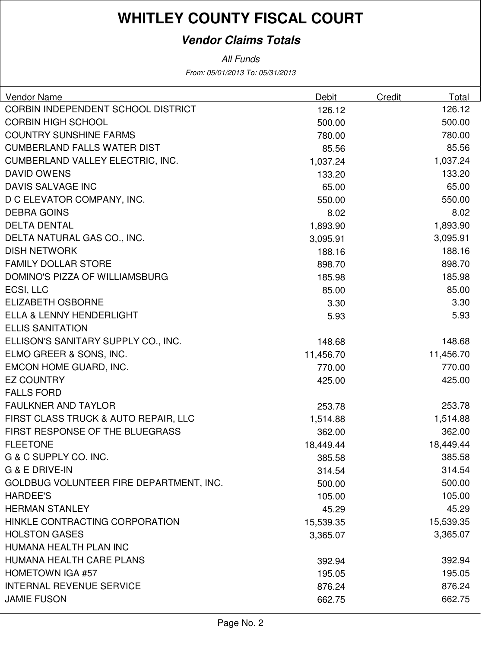## **Vendor Claims Totals**

All Funds

From: 05/01/2013 To: 05/31/2013

| CORBIN INDEPENDENT SCHOOL DISTRICT<br>126.12<br>126.12<br><b>CORBIN HIGH SCHOOL</b><br>500.00<br>500.00<br><b>COUNTRY SUNSHINE FARMS</b><br>780.00<br>780.00<br><b>CUMBERLAND FALLS WATER DIST</b><br>85.56<br>85.56<br>CUMBERLAND VALLEY ELECTRIC, INC.<br>1,037.24<br>1,037.24<br>133.20<br><b>DAVID OWENS</b><br>133.20<br>DAVIS SALVAGE INC<br>65.00<br>65.00<br>D C ELEVATOR COMPANY, INC.<br>550.00<br>550.00<br><b>DEBRA GOINS</b><br>8.02<br>8.02<br><b>DELTA DENTAL</b><br>1,893.90<br>1,893.90<br>DELTA NATURAL GAS CO., INC.<br>3,095.91<br>3,095.91<br><b>DISH NETWORK</b><br>188.16<br>188.16<br><b>FAMILY DOLLAR STORE</b><br>898.70<br>898.70<br>DOMINO'S PIZZA OF WILLIAMSBURG<br>185.98<br>185.98<br>ECSI, LLC<br>85.00<br>85.00<br><b>ELIZABETH OSBORNE</b><br>3.30<br>3.30<br><b>ELLA &amp; LENNY HENDERLIGHT</b><br>5.93<br>5.93<br><b>ELLIS SANITATION</b><br>ELLISON'S SANITARY SUPPLY CO., INC.<br>148.68<br>148.68<br>ELMO GREER & SONS, INC.<br>11,456.70<br>11,456.70 | <b>Vendor Name</b>     | Debit  | Credit | Total  |
|-------------------------------------------------------------------------------------------------------------------------------------------------------------------------------------------------------------------------------------------------------------------------------------------------------------------------------------------------------------------------------------------------------------------------------------------------------------------------------------------------------------------------------------------------------------------------------------------------------------------------------------------------------------------------------------------------------------------------------------------------------------------------------------------------------------------------------------------------------------------------------------------------------------------------------------------------------------------------------------------------|------------------------|--------|--------|--------|
|                                                                                                                                                                                                                                                                                                                                                                                                                                                                                                                                                                                                                                                                                                                                                                                                                                                                                                                                                                                                 |                        |        |        |        |
|                                                                                                                                                                                                                                                                                                                                                                                                                                                                                                                                                                                                                                                                                                                                                                                                                                                                                                                                                                                                 |                        |        |        |        |
|                                                                                                                                                                                                                                                                                                                                                                                                                                                                                                                                                                                                                                                                                                                                                                                                                                                                                                                                                                                                 |                        |        |        |        |
|                                                                                                                                                                                                                                                                                                                                                                                                                                                                                                                                                                                                                                                                                                                                                                                                                                                                                                                                                                                                 |                        |        |        |        |
|                                                                                                                                                                                                                                                                                                                                                                                                                                                                                                                                                                                                                                                                                                                                                                                                                                                                                                                                                                                                 |                        |        |        |        |
|                                                                                                                                                                                                                                                                                                                                                                                                                                                                                                                                                                                                                                                                                                                                                                                                                                                                                                                                                                                                 |                        |        |        |        |
|                                                                                                                                                                                                                                                                                                                                                                                                                                                                                                                                                                                                                                                                                                                                                                                                                                                                                                                                                                                                 |                        |        |        |        |
|                                                                                                                                                                                                                                                                                                                                                                                                                                                                                                                                                                                                                                                                                                                                                                                                                                                                                                                                                                                                 |                        |        |        |        |
|                                                                                                                                                                                                                                                                                                                                                                                                                                                                                                                                                                                                                                                                                                                                                                                                                                                                                                                                                                                                 |                        |        |        |        |
|                                                                                                                                                                                                                                                                                                                                                                                                                                                                                                                                                                                                                                                                                                                                                                                                                                                                                                                                                                                                 |                        |        |        |        |
|                                                                                                                                                                                                                                                                                                                                                                                                                                                                                                                                                                                                                                                                                                                                                                                                                                                                                                                                                                                                 |                        |        |        |        |
|                                                                                                                                                                                                                                                                                                                                                                                                                                                                                                                                                                                                                                                                                                                                                                                                                                                                                                                                                                                                 |                        |        |        |        |
|                                                                                                                                                                                                                                                                                                                                                                                                                                                                                                                                                                                                                                                                                                                                                                                                                                                                                                                                                                                                 |                        |        |        |        |
|                                                                                                                                                                                                                                                                                                                                                                                                                                                                                                                                                                                                                                                                                                                                                                                                                                                                                                                                                                                                 |                        |        |        |        |
|                                                                                                                                                                                                                                                                                                                                                                                                                                                                                                                                                                                                                                                                                                                                                                                                                                                                                                                                                                                                 |                        |        |        |        |
|                                                                                                                                                                                                                                                                                                                                                                                                                                                                                                                                                                                                                                                                                                                                                                                                                                                                                                                                                                                                 |                        |        |        |        |
|                                                                                                                                                                                                                                                                                                                                                                                                                                                                                                                                                                                                                                                                                                                                                                                                                                                                                                                                                                                                 |                        |        |        |        |
|                                                                                                                                                                                                                                                                                                                                                                                                                                                                                                                                                                                                                                                                                                                                                                                                                                                                                                                                                                                                 |                        |        |        |        |
|                                                                                                                                                                                                                                                                                                                                                                                                                                                                                                                                                                                                                                                                                                                                                                                                                                                                                                                                                                                                 |                        |        |        |        |
|                                                                                                                                                                                                                                                                                                                                                                                                                                                                                                                                                                                                                                                                                                                                                                                                                                                                                                                                                                                                 |                        |        |        |        |
|                                                                                                                                                                                                                                                                                                                                                                                                                                                                                                                                                                                                                                                                                                                                                                                                                                                                                                                                                                                                 | EMCON HOME GUARD, INC. | 770.00 |        | 770.00 |
| 425.00<br><b>EZ COUNTRY</b><br>425.00                                                                                                                                                                                                                                                                                                                                                                                                                                                                                                                                                                                                                                                                                                                                                                                                                                                                                                                                                           |                        |        |        |        |
| <b>FALLS FORD</b>                                                                                                                                                                                                                                                                                                                                                                                                                                                                                                                                                                                                                                                                                                                                                                                                                                                                                                                                                                               |                        |        |        |        |
| <b>FAULKNER AND TAYLOR</b><br>253.78<br>253.78                                                                                                                                                                                                                                                                                                                                                                                                                                                                                                                                                                                                                                                                                                                                                                                                                                                                                                                                                  |                        |        |        |        |
| FIRST CLASS TRUCK & AUTO REPAIR, LLC<br>1,514.88<br>1,514.88                                                                                                                                                                                                                                                                                                                                                                                                                                                                                                                                                                                                                                                                                                                                                                                                                                                                                                                                    |                        |        |        |        |
| FIRST RESPONSE OF THE BLUEGRASS<br>362.00<br>362.00                                                                                                                                                                                                                                                                                                                                                                                                                                                                                                                                                                                                                                                                                                                                                                                                                                                                                                                                             |                        |        |        |        |
| <b>FLEETONE</b><br>18,449.44<br>18,449.44                                                                                                                                                                                                                                                                                                                                                                                                                                                                                                                                                                                                                                                                                                                                                                                                                                                                                                                                                       |                        |        |        |        |
| G & C SUPPLY CO. INC.<br>385.58<br>385.58                                                                                                                                                                                                                                                                                                                                                                                                                                                                                                                                                                                                                                                                                                                                                                                                                                                                                                                                                       |                        |        |        |        |
| G & E DRIVE-IN<br>314.54<br>314.54                                                                                                                                                                                                                                                                                                                                                                                                                                                                                                                                                                                                                                                                                                                                                                                                                                                                                                                                                              |                        |        |        |        |
| GOLDBUG VOLUNTEER FIRE DEPARTMENT, INC.<br>500.00<br>500.00                                                                                                                                                                                                                                                                                                                                                                                                                                                                                                                                                                                                                                                                                                                                                                                                                                                                                                                                     |                        |        |        |        |
| <b>HARDEE'S</b><br>105.00<br>105.00                                                                                                                                                                                                                                                                                                                                                                                                                                                                                                                                                                                                                                                                                                                                                                                                                                                                                                                                                             |                        |        |        |        |
| <b>HERMAN STANLEY</b><br>45.29<br>45.29                                                                                                                                                                                                                                                                                                                                                                                                                                                                                                                                                                                                                                                                                                                                                                                                                                                                                                                                                         |                        |        |        |        |
| HINKLE CONTRACTING CORPORATION<br>15,539.35<br>15,539.35                                                                                                                                                                                                                                                                                                                                                                                                                                                                                                                                                                                                                                                                                                                                                                                                                                                                                                                                        |                        |        |        |        |
| <b>HOLSTON GASES</b><br>3,365.07<br>3,365.07                                                                                                                                                                                                                                                                                                                                                                                                                                                                                                                                                                                                                                                                                                                                                                                                                                                                                                                                                    |                        |        |        |        |
| HUMANA HEALTH PLAN INC                                                                                                                                                                                                                                                                                                                                                                                                                                                                                                                                                                                                                                                                                                                                                                                                                                                                                                                                                                          |                        |        |        |        |
| HUMANA HEALTH CARE PLANS<br>392.94<br>392.94                                                                                                                                                                                                                                                                                                                                                                                                                                                                                                                                                                                                                                                                                                                                                                                                                                                                                                                                                    |                        |        |        |        |
| <b>HOMETOWN IGA #57</b><br>195.05<br>195.05                                                                                                                                                                                                                                                                                                                                                                                                                                                                                                                                                                                                                                                                                                                                                                                                                                                                                                                                                     |                        |        |        |        |
| <b>INTERNAL REVENUE SERVICE</b><br>876.24<br>876.24                                                                                                                                                                                                                                                                                                                                                                                                                                                                                                                                                                                                                                                                                                                                                                                                                                                                                                                                             |                        |        |        |        |
| <b>JAMIE FUSON</b><br>662.75<br>662.75                                                                                                                                                                                                                                                                                                                                                                                                                                                                                                                                                                                                                                                                                                                                                                                                                                                                                                                                                          |                        |        |        |        |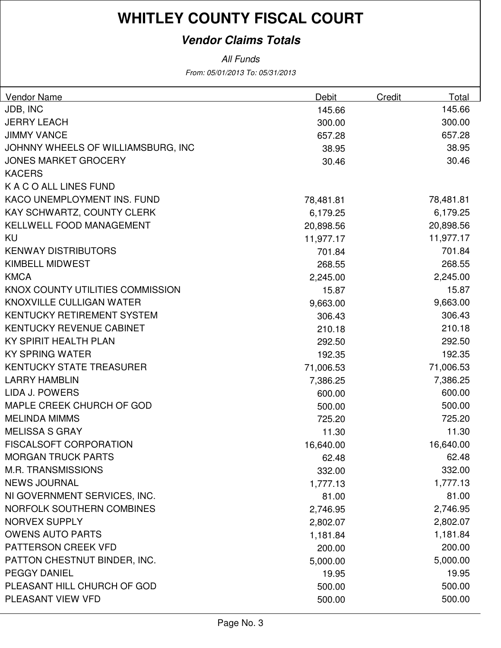## **Vendor Claims Totals**

All Funds

From: 05/01/2013 To: 05/31/2013

| <b>Vendor Name</b>                 | Debit     | Credit | Total     |
|------------------------------------|-----------|--------|-----------|
| JDB, INC                           | 145.66    |        | 145.66    |
| <b>JERRY LEACH</b>                 | 300.00    |        | 300.00    |
| <b>JIMMY VANCE</b>                 | 657.28    |        | 657.28    |
| JOHNNY WHEELS OF WILLIAMSBURG, INC | 38.95     |        | 38.95     |
| <b>JONES MARKET GROCERY</b>        | 30.46     |        | 30.46     |
| <b>KACERS</b>                      |           |        |           |
| K A C O ALL LINES FUND             |           |        |           |
| KACO UNEMPLOYMENT INS. FUND        | 78,481.81 |        | 78,481.81 |
| KAY SCHWARTZ, COUNTY CLERK         | 6,179.25  |        | 6,179.25  |
| KELLWELL FOOD MANAGEMENT           | 20,898.56 |        | 20,898.56 |
| KU                                 | 11,977.17 |        | 11,977.17 |
| <b>KENWAY DISTRIBUTORS</b>         | 701.84    |        | 701.84    |
| <b>KIMBELL MIDWEST</b>             | 268.55    |        | 268.55    |
| <b>KMCA</b>                        | 2,245.00  |        | 2,245.00  |
| KNOX COUNTY UTILITIES COMMISSION   | 15.87     |        | 15.87     |
| KNOXVILLE CULLIGAN WATER           | 9,663.00  |        | 9,663.00  |
| <b>KENTUCKY RETIREMENT SYSTEM</b>  | 306.43    |        | 306.43    |
| KENTUCKY REVENUE CABINET           | 210.18    |        | 210.18    |
| KY SPIRIT HEALTH PLAN              | 292.50    |        | 292.50    |
| <b>KY SPRING WATER</b>             | 192.35    |        | 192.35    |
| <b>KENTUCKY STATE TREASURER</b>    | 71,006.53 |        | 71,006.53 |
| <b>LARRY HAMBLIN</b>               | 7,386.25  |        | 7,386.25  |
| <b>LIDA J. POWERS</b>              | 600.00    |        | 600.00    |
| MAPLE CREEK CHURCH OF GOD          | 500.00    |        | 500.00    |
| <b>MELINDA MIMMS</b>               | 725.20    |        | 725.20    |
| <b>MELISSA S GRAY</b>              | 11.30     |        | 11.30     |
| <b>FISCALSOFT CORPORATION</b>      | 16,640.00 |        | 16,640.00 |
| <b>MORGAN TRUCK PARTS</b>          | 62.48     |        | 62.48     |
| <b>M.R. TRANSMISSIONS</b>          | 332.00    |        | 332.00    |
| <b>NEWS JOURNAL</b>                | 1,777.13  |        | 1,777.13  |
| NI GOVERNMENT SERVICES, INC.       | 81.00     |        | 81.00     |
| NORFOLK SOUTHERN COMBINES          | 2,746.95  |        | 2,746.95  |
| <b>NORVEX SUPPLY</b>               | 2,802.07  |        | 2,802.07  |
| <b>OWENS AUTO PARTS</b>            | 1,181.84  |        | 1,181.84  |
| PATTERSON CREEK VFD                | 200.00    |        | 200.00    |
| PATTON CHESTNUT BINDER, INC.       | 5,000.00  |        | 5,000.00  |
| <b>PEGGY DANIEL</b>                | 19.95     |        | 19.95     |
| PLEASANT HILL CHURCH OF GOD        | 500.00    |        | 500.00    |
| PLEASANT VIEW VFD                  | 500.00    |        | 500.00    |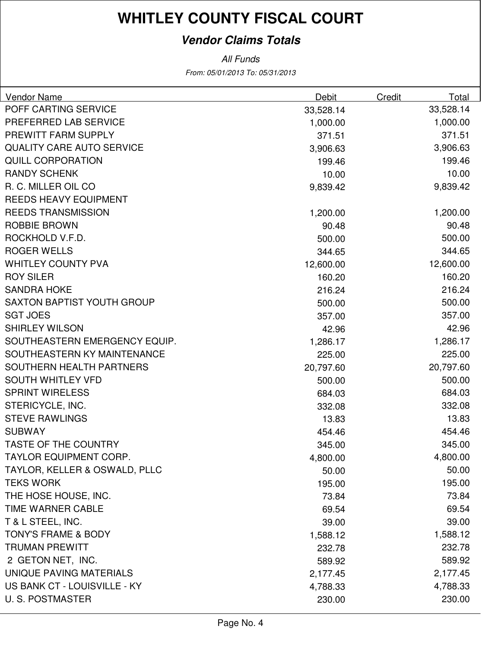## **Vendor Claims Totals**

From: 05/01/2013 To: 05/31/2013 All Funds

| Vendor Name                       | <b>Debit</b> | Credit | Total     |
|-----------------------------------|--------------|--------|-----------|
| POFF CARTING SERVICE              | 33,528.14    |        | 33,528.14 |
| PREFERRED LAB SERVICE             | 1,000.00     |        | 1,000.00  |
| PREWITT FARM SUPPLY               | 371.51       |        | 371.51    |
| <b>QUALITY CARE AUTO SERVICE</b>  | 3,906.63     |        | 3,906.63  |
| <b>QUILL CORPORATION</b>          | 199.46       |        | 199.46    |
| <b>RANDY SCHENK</b>               | 10.00        |        | 10.00     |
| R. C. MILLER OIL CO               | 9,839.42     |        | 9,839.42  |
| <b>REEDS HEAVY EQUIPMENT</b>      |              |        |           |
| <b>REEDS TRANSMISSION</b>         | 1,200.00     |        | 1,200.00  |
| <b>ROBBIE BROWN</b>               | 90.48        |        | 90.48     |
| ROCKHOLD V.F.D.                   | 500.00       |        | 500.00    |
| <b>ROGER WELLS</b>                | 344.65       |        | 344.65    |
| <b>WHITLEY COUNTY PVA</b>         | 12,600.00    |        | 12,600.00 |
| <b>ROY SILER</b>                  | 160.20       |        | 160.20    |
| <b>SANDRA HOKE</b>                | 216.24       |        | 216.24    |
| <b>SAXTON BAPTIST YOUTH GROUP</b> | 500.00       |        | 500.00    |
| <b>SGT JOES</b>                   | 357.00       |        | 357.00    |
| <b>SHIRLEY WILSON</b>             | 42.96        |        | 42.96     |
| SOUTHEASTERN EMERGENCY EQUIP.     | 1,286.17     |        | 1,286.17  |
| SOUTHEASTERN KY MAINTENANCE       | 225.00       |        | 225.00    |
| SOUTHERN HEALTH PARTNERS          | 20,797.60    |        | 20,797.60 |
| <b>SOUTH WHITLEY VFD</b>          | 500.00       |        | 500.00    |
| <b>SPRINT WIRELESS</b>            | 684.03       |        | 684.03    |
| STERICYCLE, INC.                  | 332.08       |        | 332.08    |
| <b>STEVE RAWLINGS</b>             | 13.83        |        | 13.83     |
| <b>SUBWAY</b>                     | 454.46       |        | 454.46    |
| <b>TASTE OF THE COUNTRY</b>       | 345.00       |        | 345.00    |
| TAYLOR EQUIPMENT CORP.            | 4,800.00     |        | 4,800.00  |
| TAYLOR, KELLER & OSWALD, PLLC     | 50.00        |        | 50.00     |
| <b>TEKS WORK</b>                  | 195.00       |        | 195.00    |
| THE HOSE HOUSE, INC.              | 73.84        |        | 73.84     |
| TIME WARNER CABLE                 | 69.54        |        | 69.54     |
| T & L STEEL, INC.                 | 39.00        |        | 39.00     |
| <b>TONY'S FRAME &amp; BODY</b>    | 1,588.12     |        | 1,588.12  |
| <b>TRUMAN PREWITT</b>             | 232.78       |        | 232.78    |
| 2 GETON NET, INC.                 | 589.92       |        | 589.92    |
| UNIQUE PAVING MATERIALS           | 2,177.45     |        | 2,177.45  |
| US BANK CT - LOUISVILLE - KY      | 4,788.33     |        | 4,788.33  |
| <b>U.S. POSTMASTER</b>            | 230.00       |        | 230.00    |